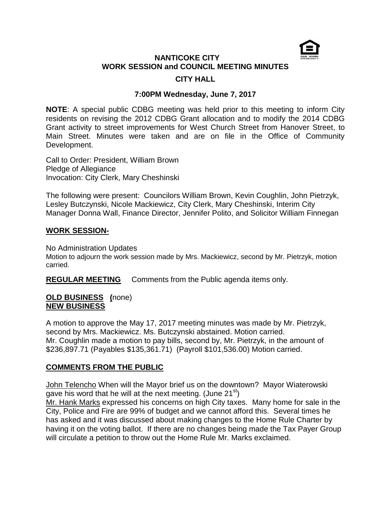

# **NANTICOKE CITY WORK SESSION and COUNCIL MEETING MINUTES CITY HALL**

# **7:00PM Wednesday, June 7, 2017**

**NOTE**: A special public CDBG meeting was held prior to this meeting to inform City residents on revising the 2012 CDBG Grant allocation and to modify the 2014 CDBG Grant activity to street improvements for West Church Street from Hanover Street, to Main Street. Minutes were taken and are on file in the Office of Community Development.

Call to Order: President, William Brown Pledge of Allegiance Invocation: City Clerk, Mary Cheshinski

The following were present: Councilors William Brown, Kevin Coughlin, John Pietrzyk, Lesley Butczynski, Nicole Mackiewicz, City Clerk, Mary Cheshinski, Interim City Manager Donna Wall, Finance Director, Jennifer Polito, and Solicitor William Finnegan

### **WORK SESSION-**

No Administration Updates

Motion to adjourn the work session made by Mrs. Mackiewicz, second by Mr. Pietrzyk, motion carried.

**REGULAR MEETING** Comments from the Public agenda items only.

### **OLD BUSINESS (**none) **NEW BUSINESS**

A motion to approve the May 17, 2017 meeting minutes was made by Mr. Pietrzyk, second by Mrs. Mackiewicz. Ms. Butczynski abstained. Motion carried. Mr. Coughlin made a motion to pay bills, second by, Mr. Pietrzyk, in the amount of \$236,897.71 (Payables \$135,361.71) (Payroll \$101,536.00) Motion carried.

# **COMMENTS FROM THE PUBLIC**

John Telencho When will the Mayor brief us on the downtown? Mayor Wiaterowski gave his word that he will at the next meeting. (June  $21^{st}$ )

Mr. Hank Marks expressed his concerns on high City taxes. Many home for sale in the City, Police and Fire are 99% of budget and we cannot afford this. Several times he has asked and it was discussed about making changes to the Home Rule Charter by having it on the voting ballot. If there are no changes being made the Tax Payer Group will circulate a petition to throw out the Home Rule Mr. Marks exclaimed.